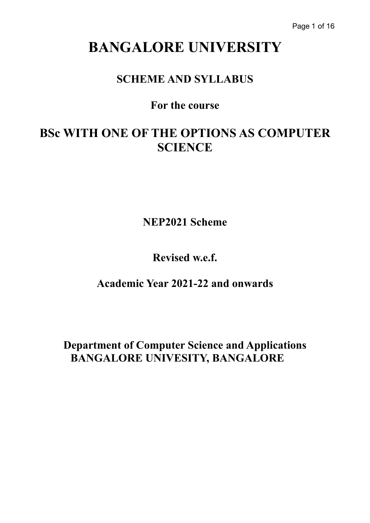# **BANGALORE UNIVERSITY**

## **SCHEME AND SYLLABUS**

## **For the course**

## **BSc WITH ONE OF THE OPTIONS AS COMPUTER SCIENCE**

**NEP2021 Scheme**

**Revised w.e.f.**

**Academic Year 2021-22 and onwards**

**Department of Computer Science and Applications BANGALORE UNIVESITY, BANGALORE**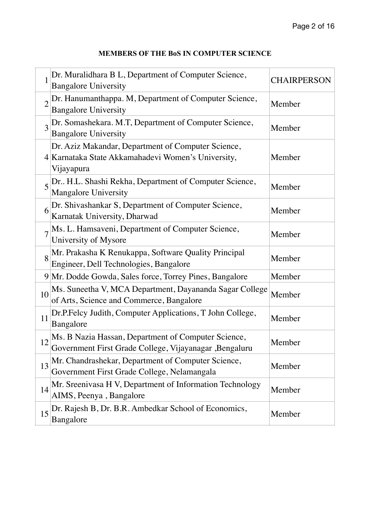| <b>MEMBERS OF THE BOS IN COMPUTER SCIENCE</b> |  |  |  |
|-----------------------------------------------|--|--|--|
|-----------------------------------------------|--|--|--|

| 1              | Dr. Muralidhara B L, Department of Computer Science,<br><b>Bangalore University</b>                                    | <b>CHAIRPERSON</b> |
|----------------|------------------------------------------------------------------------------------------------------------------------|--------------------|
| $\overline{2}$ | Dr. Hanumanthappa. M, Department of Computer Science,<br><b>Bangalore University</b>                                   | Member             |
| 3              | Dr. Somashekara. M.T, Department of Computer Science,<br><b>Bangalore University</b>                                   | Member             |
|                | Dr. Aziz Makandar, Department of Computer Science,<br>4 Karnataka State Akkamahadevi Women's University,<br>Vijayapura | Member             |
|                | Dr. H.L. Shashi Rekha, Department of Computer Science,<br><b>Mangalore University</b>                                  | Member             |
| 6              | Dr. Shivashankar S, Department of Computer Science,<br>Karnatak University, Dharwad                                    | Member             |
|                | Ms. L. Hamsaveni, Department of Computer Science,<br>University of Mysore                                              | Member             |
| 8              | Mr. Prakasha K Renukappa, Software Quality Principal<br>Engineer, Dell Technologies, Bangalore                         | Member             |
|                | 9 Mr. Dodde Gowda, Sales force, Torrey Pines, Bangalore                                                                | Member             |
| 10             | Ms. Suneetha V, MCA Department, Dayananda Sagar College<br>of Arts, Science and Commerce, Bangalore                    | Member             |
| 11             | Dr.P.Felcy Judith, Computer Applications, T John College,<br>Bangalore                                                 | Member             |
| 12             | Ms. B Nazia Hassan, Department of Computer Science,<br>Government First Grade College, Vijayanagar ,Bengaluru          | Member             |
| 13             | Mr. Chandrashekar, Department of Computer Science,<br>Government First Grade College, Nelamangala                      | Member             |
| 14             | Mr. Sreenivasa H V, Department of Information Technology<br>AIMS, Peenya, Bangalore                                    | Member             |
| 15             | Dr. Rajesh B, Dr. B.R. Ambedkar School of Economics,<br>Bangalore                                                      | Member             |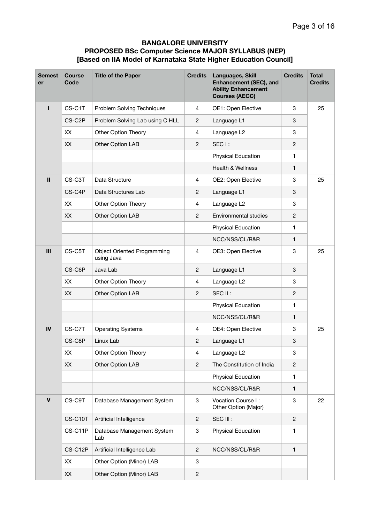### **BANGALORE UNIVERSITY PROPOSED BSc Computer Science MAJOR SYLLABUS (NEP) [Based on IIA Model of Karnataka State Higher Education Council]**

| <b>Semest</b><br>er | <b>Course</b><br>Code | <b>Title of the Paper</b>                        | <b>Credits</b> | Languages, Skill<br>Enhancement (SEC), and<br><b>Ability Enhancement</b><br><b>Courses (AECC)</b> | <b>Credits</b> | <b>Total</b><br><b>Credits</b> |
|---------------------|-----------------------|--------------------------------------------------|----------------|---------------------------------------------------------------------------------------------------|----------------|--------------------------------|
|                     | CS-C1T                | Problem Solving Techniques                       | 4              | OE1: Open Elective                                                                                | 3              | 25                             |
|                     | CS-C2P                | Problem Solving Lab using C HLL                  | $\overline{2}$ | Language L1                                                                                       | 3              |                                |
|                     | XX                    | Other Option Theory                              | $\overline{4}$ | Language L2                                                                                       | 3              |                                |
|                     | XX                    | Other Option LAB                                 | $\overline{c}$ | SEC <sub>1</sub> :                                                                                | 2              |                                |
|                     |                       |                                                  |                | Physical Education                                                                                | 1              |                                |
|                     |                       |                                                  |                | <b>Health &amp; Wellness</b>                                                                      | $\mathbf{1}$   |                                |
| $\mathbf{II}$       | CS-C3T                | Data Structure                                   | $\overline{4}$ | OE2: Open Elective                                                                                | 3              | 25                             |
|                     | CS-C4P                | Data Structures Lab                              | $\overline{2}$ | Language L1                                                                                       | 3              |                                |
|                     | XX                    | Other Option Theory                              | $\overline{4}$ | Language L2                                                                                       | 3              |                                |
|                     | XX                    | Other Option LAB                                 | $\overline{c}$ | Environmental studies                                                                             | 2              |                                |
|                     |                       |                                                  |                | Physical Education                                                                                | 1              |                                |
|                     |                       |                                                  |                | NCC/NSS/CL/R&R                                                                                    | 1              |                                |
| III                 | CS-C5T                | <b>Object Oriented Programming</b><br>using Java | 4              | OE3: Open Elective                                                                                | 3              | 25                             |
|                     | CS-C6P                | Java Lab                                         | 2              | Language L1                                                                                       | 3              |                                |
|                     | XX                    | Other Option Theory                              | 4              | Language L2                                                                                       | 3              |                                |
|                     | XX                    | Other Option LAB                                 | $\overline{c}$ | SEC II:                                                                                           | 2              |                                |
|                     |                       |                                                  |                | Physical Education                                                                                | 1              |                                |
|                     |                       |                                                  |                | NCC/NSS/CL/R&R                                                                                    | $\mathbf{1}$   |                                |
| IV                  | CS-C7T                | <b>Operating Systems</b>                         | 4              | OE4: Open Elective                                                                                | 3              | 25                             |
|                     | CS-C8P                | Linux Lab                                        | $\overline{c}$ | Language L1                                                                                       | 3              |                                |
|                     | XX                    | Other Option Theory                              | $\overline{4}$ | Language L2                                                                                       | 3              |                                |
|                     | XX                    | Other Option LAB                                 | $\mathbf{2}$   | The Constitution of India                                                                         | $\overline{2}$ |                                |
|                     |                       |                                                  |                | <b>Physical Education</b>                                                                         | 1              |                                |
|                     |                       |                                                  |                | NCC/NSS/CL/R&R                                                                                    | 1              |                                |
| $\mathbf v$         | CS-C9T                | Database Management System                       | 3              | Vocation Course I:<br>Other Option (Major)                                                        | 3              | 22                             |
|                     | CS-C10T               | Artificial Intelligence                          | $\overline{c}$ | SEC III :                                                                                         | $\overline{2}$ |                                |
|                     | CS-C11P               | Database Management System<br>Lab                | 3              | Physical Education                                                                                | 1              |                                |
|                     | CS-C12P               | Artificial Intelligence Lab                      | $\overline{c}$ | NCC/NSS/CL/R&R                                                                                    | $\mathbf{1}$   |                                |
|                     | XX                    | Other Option (Minor) LAB                         | 3              |                                                                                                   |                |                                |
|                     | XX                    | Other Option (Minor) LAB                         | $\overline{c}$ |                                                                                                   |                |                                |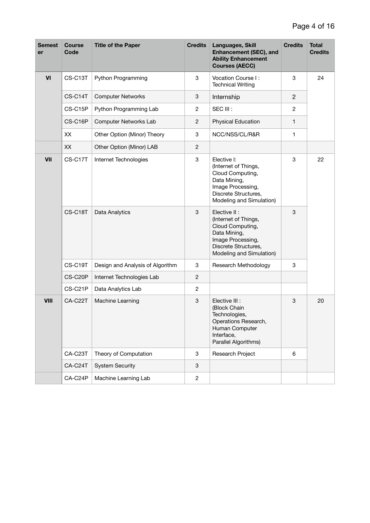| Semest<br>er | <b>Course</b><br>Code | <b>Title of the Paper</b>        | <b>Credits</b> | Languages, Skill<br><b>Enhancement (SEC), and</b><br><b>Ability Enhancement</b><br><b>Courses (AECC)</b>                                           | <b>Credits</b> | Total<br><b>Credits</b> |
|--------------|-----------------------|----------------------------------|----------------|----------------------------------------------------------------------------------------------------------------------------------------------------|----------------|-------------------------|
| VI           | CS-C13T               | Python Programming               | 3              | Vocation Course I:<br><b>Technical Writing</b>                                                                                                     | 3              | 24                      |
|              | CS-C14T               | <b>Computer Networks</b>         | 3              | Internship                                                                                                                                         | $\mathbf{2}$   |                         |
|              | CS-C15P               | Python Programming Lab           | $\overline{c}$ | SEC III :                                                                                                                                          | 2              |                         |
|              | CS-C16P               | Computer Networks Lab            | $\mathbf{2}$   | <b>Physical Education</b>                                                                                                                          | $\mathbf{1}$   |                         |
|              | XX                    | Other Option (Minor) Theory      | 3              | NCC/NSS/CL/R&R                                                                                                                                     | 1              |                         |
|              | XX                    | Other Option (Minor) LAB         | $\overline{c}$ |                                                                                                                                                    |                |                         |
| VII          | CS-C17T               | Internet Technologies            | 3              | Elective I:<br>(Internet of Things,<br>Cloud Computing,<br>Data Mining,<br>Image Processing,<br>Discrete Structures,<br>Modeling and Simulation)   | 3              | 22                      |
|              | CS-C18T               | Data Analytics                   | 3              | Elective II :<br>(Internet of Things,<br>Cloud Computing,<br>Data Mining,<br>Image Processing,<br>Discrete Structures,<br>Modeling and Simulation) | 3              |                         |
|              | CS-C19T               | Design and Analysis of Algorithm | 3              | Research Methodology                                                                                                                               | 3              |                         |
|              | CS-C20P               | Internet Technologies Lab        | $\mathbf{2}$   |                                                                                                                                                    |                |                         |
|              | CS-C21P               | Data Analytics Lab               | $\overline{c}$ |                                                                                                                                                    |                |                         |
| <b>VIII</b>  | CA-C22T               | Machine Learning                 | 3              | Elective III :<br>(Block Chain<br>Technologies,<br>Operations Research,<br>Human Computer<br>Interface,<br>Parallel Algorithms)                    | 3              | 20                      |
|              | CA-C23T               | Theory of Computation            | 3              | Research Project                                                                                                                                   | 6              |                         |
|              | CA-C24T               | <b>System Security</b>           | 3              |                                                                                                                                                    |                |                         |
|              | CA-C24P               | Machine Learning Lab             | $\overline{c}$ |                                                                                                                                                    |                |                         |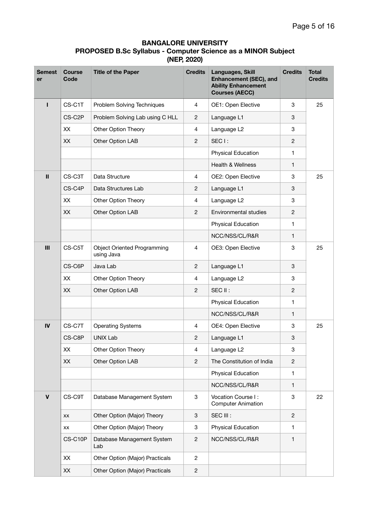### **BANGALORE UNIVERSITY PROPOSED B.Sc Syllabus - Computer Science as a MINOR Subject (NEP, 2020)**

| <b>Semest</b><br>er | <b>Course</b><br>Code | <b>Title of the Paper</b>                        | <b>Credits</b>            | Languages, Skill<br>Enhancement (SEC), and<br><b>Ability Enhancement</b><br><b>Courses (AECC)</b> | <b>Credits</b> | Total<br><b>Credits</b> |
|---------------------|-----------------------|--------------------------------------------------|---------------------------|---------------------------------------------------------------------------------------------------|----------------|-------------------------|
| п                   | CS-C1T                | Problem Solving Techniques                       | 4                         | OE1: Open Elective                                                                                | 3              | 25                      |
|                     | CS-C2P                | Problem Solving Lab using C HLL                  | $\mathbf{2}$              | Language L1                                                                                       | 3              |                         |
|                     | XX                    | Other Option Theory                              | $\overline{4}$            | Language L2                                                                                       | 3              |                         |
|                     | XX                    | Other Option LAB                                 | $\mathbf{2}$              | SEC <sub>1</sub> :                                                                                | $\overline{c}$ |                         |
|                     |                       |                                                  |                           | Physical Education                                                                                | 1              |                         |
|                     |                       |                                                  |                           | <b>Health &amp; Wellness</b>                                                                      | 1              |                         |
| $\mathbf{II}$       | CS-C3T                | Data Structure                                   | 4                         | OE2: Open Elective                                                                                | 3              | 25                      |
|                     | CS-C4P                | Data Structures Lab                              | $\mathbf{2}$              | Language L1                                                                                       | 3              |                         |
|                     | XX                    | Other Option Theory                              | 4                         | Language L2                                                                                       | 3              |                         |
|                     | XX                    | Other Option LAB                                 | $\mathbf{2}$              | Environmental studies                                                                             | 2              |                         |
|                     |                       |                                                  |                           | Physical Education                                                                                | 1              |                         |
|                     |                       |                                                  |                           | NCC/NSS/CL/R&R                                                                                    | 1              |                         |
| III                 | CS-C5T                | <b>Object Oriented Programming</b><br>using Java | $\overline{4}$            | OE3: Open Elective                                                                                | 3              | 25                      |
|                     | CS-C6P                | Java Lab                                         | $\overline{2}$            | Language L1                                                                                       | 3              |                         |
|                     | XX                    | Other Option Theory                              | $\overline{4}$            | Language L2                                                                                       | 3              |                         |
|                     | XX                    | Other Option LAB                                 | 2                         | SEC II:                                                                                           | 2              |                         |
|                     |                       |                                                  |                           | Physical Education                                                                                | 1              |                         |
|                     |                       |                                                  |                           | NCC/NSS/CL/R&R                                                                                    | 1              |                         |
| IV                  | CS-C7T                | <b>Operating Systems</b>                         | $\overline{4}$            | OE4: Open Elective                                                                                | 3              | 25                      |
|                     | CS-C8P                | <b>UNIX Lab</b>                                  | 2                         | Language L1                                                                                       | 3              |                         |
|                     | XX                    | Other Option Theory                              | $\overline{4}$            | Language L2                                                                                       | 3              |                         |
|                     | XX                    | Other Option LAB                                 | $\mathbf{2}$              | The Constitution of India                                                                         | $\mathbf{2}$   |                         |
|                     |                       |                                                  |                           | Physical Education                                                                                | 1              |                         |
|                     |                       |                                                  |                           | NCC/NSS/CL/R&R                                                                                    | 1              |                         |
| $\mathbf v$         | CS-C9T                | Database Management System                       | $\ensuremath{\mathsf{3}}$ | Vocation Course I:<br><b>Computer Animation</b>                                                   | 3              | 22                      |
|                     | XX                    | Other Option (Major) Theory                      | $\ensuremath{\mathsf{3}}$ | SEC III :                                                                                         | $\overline{c}$ |                         |
|                     | XX                    | Other Option (Major) Theory                      | 3                         | <b>Physical Education</b>                                                                         | 1              |                         |
|                     | CS-C10P               | Database Management System<br>Lab                | $\sqrt{2}$                | NCC/NSS/CL/R&R                                                                                    | 1              |                         |
|                     | XX                    | Other Option (Major) Practicals                  | $\sqrt{2}$                |                                                                                                   |                |                         |
|                     | XX                    | Other Option (Major) Practicals                  | $\sqrt{2}$                |                                                                                                   |                |                         |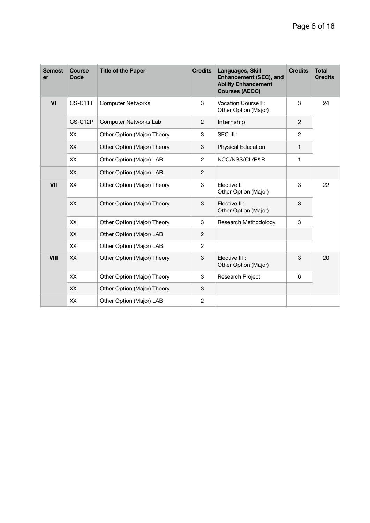| <b>Semest</b><br>er | <b>Course</b><br>Code | <b>Title of the Paper</b>   | <b>Credits</b> | Languages, Skill<br>Enhancement (SEC), and<br><b>Ability Enhancement</b><br><b>Courses (AECC)</b> | <b>Credits</b> | <b>Total</b><br><b>Credits</b> |
|---------------------|-----------------------|-----------------------------|----------------|---------------------------------------------------------------------------------------------------|----------------|--------------------------------|
| VI                  | CS-C11T               | <b>Computer Networks</b>    | 3              | Vocation Course I:<br>Other Option (Major)                                                        | 3              | 24                             |
|                     | CS-C12P               | Computer Networks Lab       | 2              | Internship                                                                                        | $\mathbf{2}$   |                                |
|                     | <b>XX</b>             | Other Option (Major) Theory | 3              | SEC III :                                                                                         | $\mathbf{2}$   |                                |
|                     | <b>XX</b>             | Other Option (Major) Theory | 3              | <b>Physical Education</b>                                                                         | $\mathbf{1}$   |                                |
|                     | XX                    | Other Option (Major) LAB    | $\overline{c}$ | NCC/NSS/CL/R&R                                                                                    | 1              |                                |
|                     | XX                    | Other Option (Major) LAB    | $\overline{c}$ |                                                                                                   |                |                                |
| VII                 | XX                    | Other Option (Major) Theory | 3              | Elective I:<br>Other Option (Major)                                                               | 3              | 22                             |
|                     | <b>XX</b>             | Other Option (Major) Theory | 3              | Elective II :<br>Other Option (Major)                                                             | 3              |                                |
|                     | XX                    | Other Option (Major) Theory | 3              | Research Methodology                                                                              | 3              |                                |
|                     | XX                    | Other Option (Major) LAB    | 2              |                                                                                                   |                |                                |
|                     | <b>XX</b>             | Other Option (Major) LAB    | $\overline{c}$ |                                                                                                   |                |                                |
| <b>VIII</b>         | XX                    | Other Option (Major) Theory | 3              | Elective III :<br>Other Option (Major)                                                            | 3              | 20                             |
|                     | <b>XX</b>             | Other Option (Major) Theory | 3              | Research Project                                                                                  | 6              |                                |
|                     | <b>XX</b>             | Other Option (Major) Theory | 3              |                                                                                                   |                |                                |
|                     | XX                    | Other Option (Major) LAB    | $\overline{c}$ |                                                                                                   |                |                                |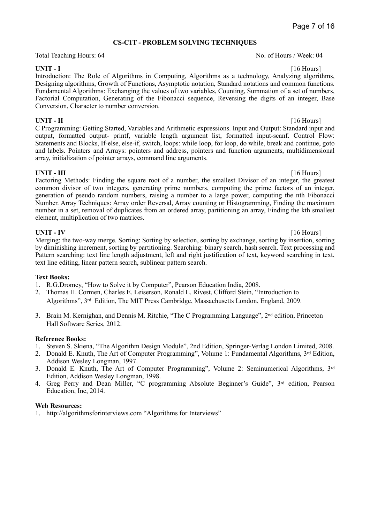### **CS-C1T - PROBLEM SOLVING TECHNIQUES**

Total Teaching Hours: 64 No. of Hours / Week: 04

**UNIT - I** [16 Hours] Introduction: The Role of Algorithms in Computing, Algorithms as a technology, Analyzing algorithms, Designing algorithms, Growth of Functions, Asymptotic notation, Standard notations and common functions. Fundamental Algorithms: Exchanging the values of two variables, Counting, Summation of a set of numbers, Factorial Computation, Generating of the Fibonacci sequence, Reversing the digits of an integer, Base Conversion, Character to number conversion.

**UNIT - II** [16 Hours] C Programming: Getting Started, Variables and Arithmetic expressions. Input and Output: Standard input and output, formatted output- printf, variable length argument list, formatted input-scanf. Control Flow: Statements and Blocks, If-else, else-if, switch, loops: while loop, for loop, do while, break and continue, goto and labels. Pointers and Arrays: pointers and address, pointers and function arguments, multidimensional array, initialization of pointer arrays, command line arguments.

**UNIT - III** [16 Hours] Factoring Methods: Finding the square root of a number, the smallest Divisor of an integer, the greatest common divisor of two integers, generating prime numbers, computing the prime factors of an integer, generation of pseudo random numbers, raising a number to a large power, computing the nth Fibonacci Number. Array Techniques: Array order Reversal, Array counting or Histogramming, Finding the maximum number in a set, removal of duplicates from an ordered array, partitioning an array, Finding the kth smallest element, multiplication of two matrices.

**UNIT - IV** [16 Hours] Merging: the two-way merge. Sorting: Sorting by selection, sorting by exchange, sorting by insertion, sorting by diminishing increment, sorting by partitioning. Searching: binary search, hash search. Text processing and Pattern searching: text line length adjustment, left and right justification of text, keyword searching in text, text line editing, linear pattern search, sublinear pattern search.

### **Text Books:**

- 1. R.G.Dromey, "How to Solve it by Computer", Pearson Education India, 2008.
- 2. Thomas H. Cormen, Charles E. Leiserson, Ronald L. Rivest, Clifford Stein, "Introduction to Algorithms", 3rd Edition, The MIT Press Cambridge, Massachusetts London, England, 2009.
- 3. Brain M. Kernighan, and Dennis M. Ritchie, "The C Programming Language", 2nd edition, Princeton Hall Software Series, 2012.

### **Reference Books:**

- 1. Steven S. Skiena, "The Algorithm Design Module", 2nd Edition, Springer-Verlag London Limited, 2008.
- 2. Donald E. Knuth, The Art of Computer Programming", Volume 1: Fundamental Algorithms, 3rd Edition, Addison Wesley Longman, 1997.
- 3. Donald E. Knuth, The Art of Computer Programming", Volume 2: Seminumerical Algorithms, 3rd Edition, Addison Wesley Longman, 1998.
- 4. Greg Perry and Dean Miller, "C programming Absolute Beginner's Guide", 3rd edition, Pearson Education, Inc, 2014.

### **Web Resources:**

1. <http://algorithmsforinterviews.com> "Algorithms for Interviews"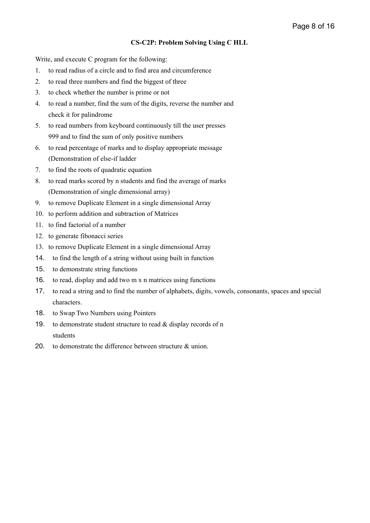### **CS-C2P: Problem Solving Using C HLL**

Write, and execute C program for the following:

- 1. to read radius of a circle and to find area and circumference
- 2. to read three numbers and find the biggest of three
- 3. to check whether the number is prime or not
- 4. to read a number, find the sum of the digits, reverse the number and check it for palindrome
- 5. to read numbers from keyboard continuously till the user presses 999 and to find the sum of only positive numbers
- 6. to read percentage of marks and to display appropriate message (Demonstration of else-if ladder
- 7. to find the roots of quadratic equation
- 8. to read marks scored by n students and find the average of marks (Demonstration of single dimensional array)
- 9. to remove Duplicate Element in a single dimensional Array
- 10. to perform addition and subtraction of Matrices
- 11. to find factorial of a number
- 12. to generate fibonacci series
- 13. to remove Duplicate Element in a single dimensional Array
- 14. to find the length of a string without using built in function
- 15. to demonstrate string functions
- 16. to read, display and add two m x n matrices using functions
- 17. to read a string and to find the number of alphabets, digits, vowels, consonants, spaces and special characters.
- 18. to Swap Two Numbers using Pointers
- 19. to demonstrate student structure to read  $&$  display records of n students
- 20. to demonstrate the difference between structure & union.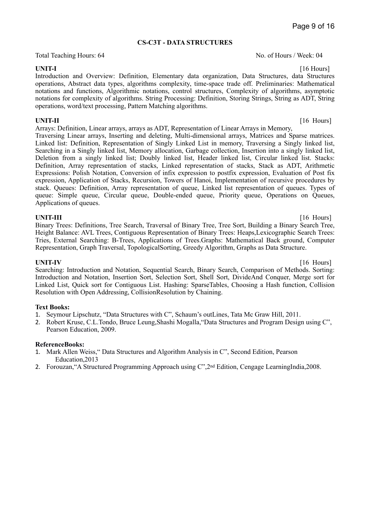#### **CS-C3T - DATA STRUCTURES**

Total Teaching Hours: 64 No. of Hours / Week: 04

**UNIT-I** [16 Hours] Introduction and Overview: Definition, Elementary data organization, Data Structures, data Structures operations, Abstract data types, algorithms complexity, time-space trade off. Preliminaries: Mathematical notations and functions, Algorithmic notations, control structures, Complexity of algorithms, asymptotic notations for complexity of algorithms. String Processing: Definition, Storing Strings, String as ADT, String operations, word/text processing, Pattern Matching algorithms.

Arrays: Definition, Linear arrays, arrays as ADT, Representation of Linear Arrays in Memory, Traversing Linear arrays, Inserting and deleting, Multi-dimensional arrays, Matrices and Sparse matrices. Linked list: Definition, Representation of Singly Linked List in memory, Traversing a Singly linked list, Searching in a Singly linked list, Memory allocation, Garbage collection, Insertion into a singly linked list, Deletion from a singly linked list; Doubly linked list, Header linked list, Circular linked list. Stacks: Definition, Array representation of stacks, Linked representation of stacks, Stack as ADT, Arithmetic Expressions: Polish Notation, Conversion of infix expression to postfix expression, Evaluation of Post fix expression, Application of Stacks, Recursion, Towers of Hanoi, Implementation of recursive procedures by stack. Queues: Definition, Array representation of queue, Linked list representation of queues. Types of queue: Simple queue, Circular queue, Double-ended queue, Priority queue, Operations on Oueues, Applications of queues.

**UNIT-III** [16 Hours] Binary Trees: Definitions, Tree Search, Traversal of Binary Tree, Tree Sort, Building a Binary Search Tree, Height Balance: AVL Trees, Contiguous Representation of Binary Trees: Heaps,Lexicographic Search Trees: Tries, External Searching: B-Trees, Applications of Trees.Graphs: Mathematical Back ground, Computer Representation, Graph Traversal, TopologicalSorting, Greedy Algorithm, Graphs as Data Structure.

**UNIT-IV** [16 Hours] Searching: Introduction and Notation, Sequential Search, Binary Search, Comparison of Methods. Sorting: Introduction and Notation, Insertion Sort, Selection Sort, Shell Sort, DivideAnd Conquer, Merge sort for Linked List, Quick sort for Contiguous List. Hashing: SparseTables, Choosing a Hash function, Collision Resolution with Open Addressing, CollisionResolution by Chaining.

### **Text Books:**

- 1. Seymour Lipschutz, "Data Structures with C", Schaum's outLines, Tata Mc Graw Hill, 2011.
- 2. Robert Kruse, C.L.Tondo, Bruce Leung,Shashi Mogalla,"Data Structures and Program Design using C", Pearson Education, 2009.

### **ReferenceBooks:**

- 1. Mark Allen Weiss," Data Structures and Algorithm Analysis in C", Second Edition, Pearson Education,2013
- 2. Forouzan,"A Structured Programming Approach using C",2nd Edition, Cengage LearningIndia,2008.

**UNIT-II** [16 Hours]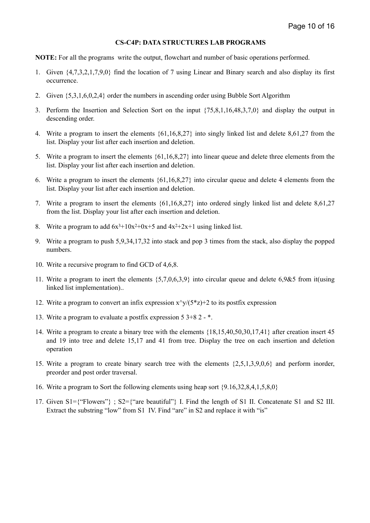### **CS-C4P: DATA STRUCTURES LAB PROGRAMS**

**NOTE:** For all the programs write the output, flowchart and number of basic operations performed.

- 1. Given {4,7,3,2,1,7,9,0} find the location of 7 using Linear and Binary search and also display its first occurrence.
- 2. Given {5,3,1,6,0,2,4} order the numbers in ascending order using Bubble Sort Algorithm
- 3. Perform the Insertion and Selection Sort on the input {75,8,1,16,48,3,7,0} and display the output in descending order.
- 4. Write a program to insert the elements {61,16,8,27} into singly linked list and delete 8,61,27 from the list. Display your list after each insertion and deletion.
- 5. Write a program to insert the elements {61,16,8,27} into linear queue and delete three elements from the list. Display your list after each insertion and deletion.
- 6. Write a program to insert the elements {61,16,8,27} into circular queue and delete 4 elements from the list. Display your list after each insertion and deletion.
- 7. Write a program to insert the elements {61,16,8,27} into ordered singly linked list and delete 8,61,27 from the list. Display your list after each insertion and deletion.
- 8. Write a program to add  $6x^3+10x^2+0x+5$  and  $4x^2+2x+1$  using linked list.
- 9. Write a program to push 5,9,34,17,32 into stack and pop 3 times from the stack, also display the popped numbers.
- 10. Write a recursive program to find GCD of 4,6,8.
- 11. Write a program to inert the elements {5,7,0,6,3,9} into circular queue and delete 6,9&5 from it(using linked list implementation)..
- 12. Write a program to convert an infix expression  $x^y/(5^z)$  +2 to its postfix expression
- 13. Write a program to evaluate a postfix expression 5 3+8 2 \*.
- 14. Write a program to create a binary tree with the elements {18,15,40,50,30,17,41} after creation insert 45 and 19 into tree and delete 15,17 and 41 from tree. Display the tree on each insertion and deletion operation
- 15. Write a program to create binary search tree with the elements {2,5,1,3,9,0,6} and perform inorder, preorder and post order traversal.
- 16. Write a program to Sort the following elements using heap sort {9.16,32,8,4,1,5,8,0}
- 17. Given S1={"Flowers"} ; S2={"are beautiful"} I. Find the length of S1 II. Concatenate S1 and S2 III. Extract the substring "low" from S1 IV. Find "are" in S2 and replace it with "is"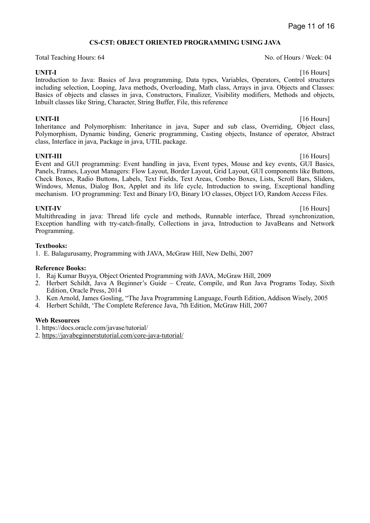### **CS-C5T: OBJECT ORIENTED PROGRAMMING USING JAVA**

Total Teaching Hours: 64 No. of Hours / Week: 04

Introduction to Java: Basics of Java programming, Data types, Variables, Operators, Control structures including selection, Looping, Java methods, Overloading, Math class, Arrays in java. Objects and Classes: Basics of objects and classes in java, Constructors, Finalizer, Visibility modifiers, Methods and objects, Inbuilt classes like String, Character, String Buffer, File, this reference

**UNIT-II** [16 Hours] Inheritance and Polymorphism: Inheritance in java, Super and sub class, Overriding, Object class, Polymorphism, Dynamic binding, Generic programming, Casting objects, Instance of operator, Abstract class, Interface in java, Package in java, UTIL package.

**UNIT-III** [16 Hours] Event and GUI programming: Event handling in java, Event types, Mouse and key events, GUI Basics, Panels, Frames, Layout Managers: Flow Layout, Border Layout, Grid Layout, GUI components like Buttons, Check Boxes, Radio Buttons, Labels, Text Fields, Text Areas, Combo Boxes, Lists, Scroll Bars, Sliders, Windows, Menus, Dialog Box, Applet and its life cycle, Introduction to swing, Exceptional handling mechanism. I/O programming: Text and Binary I/O, Binary I/O classes, Object I/O, Random Access Files.

**UNIT-IV** [16 Hours] Multithreading in java: Thread life cycle and methods, Runnable interface, Thread synchronization, Exception handling with try-catch-finally, Collections in java, Introduction to JavaBeans and Network Programming.

### **Textbooks:**

1. E. Balagurusamy, Programming with JAVA, McGraw Hill, New Delhi, 2007

### **Reference Books:**

- 1. Raj Kumar Buyya, Object Oriented Programming with JAVA, McGraw Hill, 2009
- 2. Herbert Schildt, Java A Beginner's Guide Create, Compile, and Run Java Programs Today, Sixth Edition, Oracle Press, 2014
- 3. Ken Arnold, James Gosling, "The Java Programming Language, Fourth Edition, Addison Wisely, 2005
- 4. Herbert Schildt, 'The Complete Reference Java, 7th Edition, McGraw Hill, 2007

### **Web Resources**

- 1. https://docs.oracle.com/javase/tutorial/
- 2. <https://javabeginnerstutorial.com/core-java-tutorial/>

**UNIT-I** [16 Hours]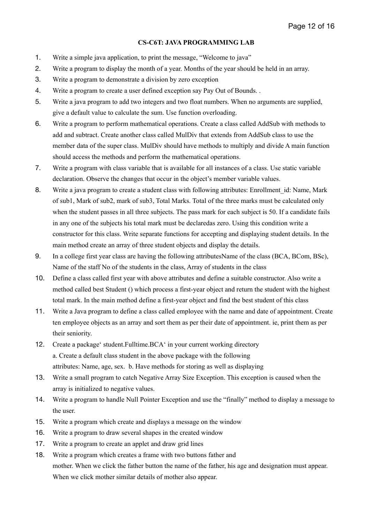### **CS-C6T: JAVA PROGRAMMING LAB**

- 1. Write a simple java application, to print the message, "Welcome to java"
- 2. Write a program to display the month of a year. Months of the year should be held in an array.
- 3. Write a program to demonstrate a division by zero exception
- 4. Write a program to create a user defined exception say Pay Out of Bounds. .
- 5. Write a java program to add two integers and two float numbers. When no arguments are supplied, give a default value to calculate the sum. Use function overloading.
- 6. Write a program to perform mathematical operations. Create a class called AddSub with methods to add and subtract. Create another class called MulDiv that extends from AddSub class to use the member data of the super class. MulDiv should have methods to multiply and divide A main function should access the methods and perform the mathematical operations.
- 7. Write a program with class variable that is available for all instances of a class. Use static variable declaration. Observe the changes that occur in the object's member variable values.
- 8. Write a java program to create a student class with following attributes: Enrollment id: Name, Mark of sub1, Mark of sub2, mark of sub3, Total Marks. Total of the three marks must be calculated only when the student passes in all three subjects. The pass mark for each subject is 50. If a candidate fails in any one of the subjects his total mark must be declaredas zero. Using this condition write a constructor for this class. Write separate functions for accepting and displaying student details. In the main method create an array of three student objects and display the details.
- 9. In a college first year class are having the following attributesName of the class (BCA, BCom, BSc), Name of the staff No of the students in the class, Array of students in the class
- 10. Define a class called first year with above attributes and define a suitable constructor. Also write a method called best Student () which process a first-year object and return the student with the highest total mark. In the main method define a first-year object and find the best student of this class
- 11. Write a Java program to define a class called employee with the name and date of appointment. Create ten employee objects as an array and sort them as per their date of appointment. ie, print them as per their seniority.
- 12. Create a package' student.Fulltime.BCA' in your current working directory a. Create a default class student in the above package with the following attributes: Name, age, sex. b. Have methods for storing as well as displaying
- 13. Write a small program to catch Negative Array Size Exception. This exception is caused when the array is initialized to negative values.
- 14. Write a program to handle Null Pointer Exception and use the "finally" method to display a message to the user.
- 15. Write a program which create and displays a message on the window
- 16. Write a program to draw several shapes in the created window
- 17. Write a program to create an applet and draw grid lines
- 18. Write a program which creates a frame with two buttons father and mother. When we click the father button the name of the father, his age and designation must appear. When we click mother similar details of mother also appear.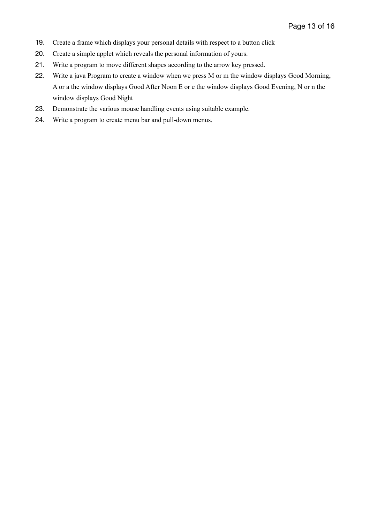- 19. Create a frame which displays your personal details with respect to a button click
- 20. Create a simple applet which reveals the personal information of yours.
- 21. Write a program to move different shapes according to the arrow key pressed.
- 22. Write a java Program to create a window when we press M or m the window displays Good Morning, A or a the window displays Good After Noon E or e the window displays Good Evening, N or n the window displays Good Night
- 23. Demonstrate the various mouse handling events using suitable example.
- 24. Write a program to create menu bar and pull-down menus.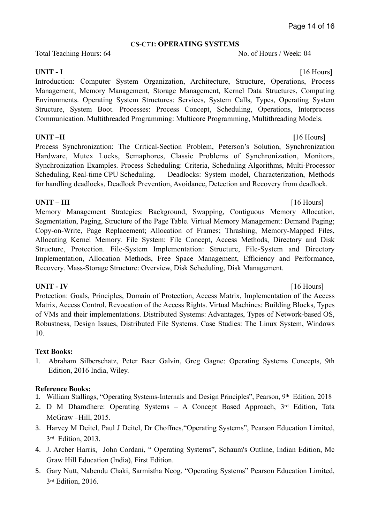### **CS-C7T: OPERATING SYSTEMS**

Total Teaching Hours: 64 No. of Hours / Week: 04

### **UNIT - I** [16 Hours]

Introduction: Computer System Organization, Architecture, Structure, Operations, Process Management, Memory Management, Storage Management, Kernel Data Structures, Computing Environments. Operating System Structures: Services, System Calls, Types, Operating System Structure, System Boot. Processes: Process Concept, Scheduling, Operations, Interprocess Communication. Multithreaded Programming: Multicore Programming, Multithreading Models.

### **UNIT –II** [16 Hours]

Process Synchronization: The Critical-Section Problem, Peterson's Solution, Synchronization Hardware, Mutex Locks, Semaphores, Classic Problems of Synchronization, Monitors, Synchronization Examples. Process Scheduling: Criteria, Scheduling Algorithms, Multi-Processor Scheduling, Real-time CPU Scheduling. Deadlocks: System model, Characterization, Methods for handling deadlocks, Deadlock Prevention, Avoidance, Detection and Recovery from deadlock.

### **UNIT – III** [16 Hours]

Memory Management Strategies: Background, Swapping, Contiguous Memory Allocation, Segmentation, Paging, Structure of the Page Table. Virtual Memory Management: Demand Paging; Copy-on-Write, Page Replacement; Allocation of Frames; Thrashing, Memory-Mapped Files, Allocating Kernel Memory. File System: File Concept, Access Methods, Directory and Disk Structure, Protection. File-System Implementation: Structure, File-System and Directory Implementation, Allocation Methods, Free Space Management, Efficiency and Performance, Recovery. Mass-Storage Structure: Overview, Disk Scheduling, Disk Management.

### **UNIT - IV** [16 Hours]

Protection: Goals, Principles, Domain of Protection, Access Matrix, Implementation of the Access Matrix, Access Control, Revocation of the Access Rights. Virtual Machines: Building Blocks, Types of VMs and their implementations. Distributed Systems: Advantages, Types of Network-based OS, Robustness, Design Issues, Distributed File Systems. Case Studies: The Linux System, Windows 10.

### **Text Books:**

1. Abraham Silberschatz, Peter Baer Galvin, Greg Gagne: Operating Systems Concepts, 9th Edition, 2016 India, Wiley.

### **Reference Books:**

- 1. William Stallings, "Operating Systems-Internals and Design Principles", Pearson, 9th Edition, 2018
- 2. D M Dhamdhere: Operating Systems A Concept Based Approach, 3rd Edition, Tata McGraw –Hill, 2015.
- 3. Harvey M Deitel, Paul J Deitel, Dr Choffnes,"Operating Systems", Pearson Education Limited, 3rd Edition, 2013.
- 4. J. Archer Harris, John Cordani, " Operating Systems", Schaum's Outline, Indian Edition, Mc Graw Hill Education (India), First Edition.
- 5. Gary Nutt, Nabendu Chaki, Sarmistha Neog, "Operating Systems" Pearson Education Limited, 3rd Edition, 2016.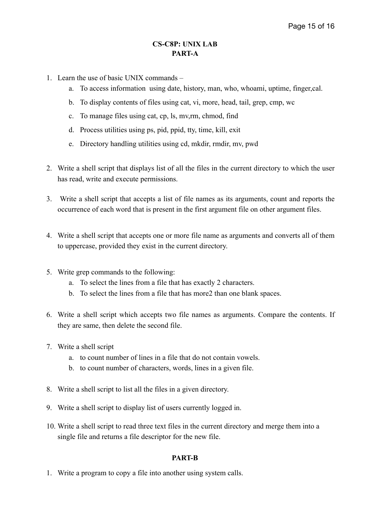### **CS-C8P: UNIX LAB PART-A**

- 1. Learn the use of basic UNIX commands
	- a. To access information using date, history, man, who, whoami, uptime, finger,cal.
	- b. To display contents of files using cat, vi, more, head, tail, grep, cmp, wc
	- c. To manage files using cat, cp, ls, mv,rm, chmod, find
	- d. Process utilities using ps, pid, ppid, tty, time, kill, exit
	- e. Directory handling utilities using cd, mkdir, rmdir, mv, pwd
- 2. Write a shell script that displays list of all the files in the current directory to which the user has read, write and execute permissions.
- 3. Write a shell script that accepts a list of file names as its arguments, count and reports the occurrence of each word that is present in the first argument file on other argument files.
- 4. Write a shell script that accepts one or more file name as arguments and converts all of them to uppercase, provided they exist in the current directory.
- 5. Write grep commands to the following:
	- a. To select the lines from a file that has exactly 2 characters.
	- b. To select the lines from a file that has more2 than one blank spaces.
- 6. Write a shell script which accepts two file names as arguments. Compare the contents. If they are same, then delete the second file.
- 7. Write a shell script
	- a. to count number of lines in a file that do not contain vowels.
	- b. to count number of characters, words, lines in a given file.
- 8. Write a shell script to list all the files in a given directory.
- 9. Write a shell script to display list of users currently logged in.
- 10. Write a shell script to read three text files in the current directory and merge them into a single file and returns a file descriptor for the new file.

### **PART-B**

1. Write a program to copy a file into another using system calls.